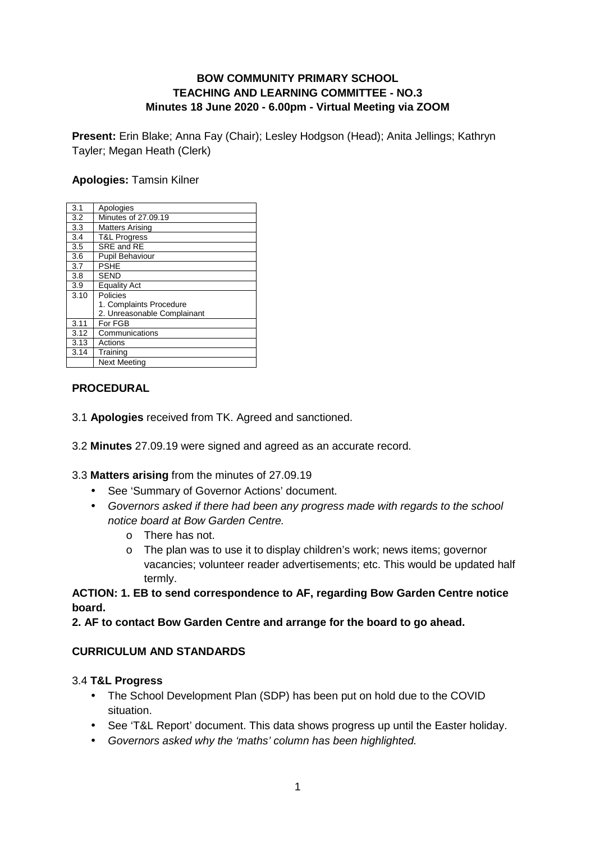## **BOW COMMUNITY PRIMARY SCHOOL TEACHING AND LEARNING COMMITTEE - NO.3 Minutes 18 June 2020 - 6.00pm - Virtual Meeting via ZOOM**

**Present:** Erin Blake; Anna Fay (Chair); Lesley Hodgson (Head); Anita Jellings; Kathryn Tayler; Megan Heath (Clerk)

#### **Apologies:** Tamsin Kilner

| 3.1  | Apologies                   |
|------|-----------------------------|
| 3.2  | Minutes of 27,09.19         |
| 3.3  | <b>Matters Arising</b>      |
| 3.4  | <b>T&amp;L Progress</b>     |
| 3.5  | SRE and RE                  |
| 3.6  | Pupil Behaviour             |
| 3.7  | <b>PSHE</b>                 |
| 3.8  | <b>SEND</b>                 |
| 3.9  | <b>Equality Act</b>         |
| 3.10 | Policies                    |
|      | 1. Complaints Procedure     |
|      | 2. Unreasonable Complainant |
| 3.11 | For FGB                     |
| 3.12 | Communications              |
| 3.13 | Actions                     |
| 3.14 | Training                    |
|      | <b>Next Meeting</b>         |

#### **PROCEDURAL**

- 3.1 **Apologies** received from TK. Agreed and sanctioned.
- 3.2 **Minutes** 27.09.19 were signed and agreed as an accurate record.
- 3.3 **Matters arising** from the minutes of 27.09.19
	- See 'Summary of Governor Actions' document.
	- Governors asked if there had been any progress made with regards to the school notice board at Bow Garden Centre.
		- o There has not.
		- o The plan was to use it to display children's work; news items; governor vacancies; volunteer reader advertisements; etc. This would be updated half termly.

**ACTION: 1. EB to send correspondence to AF, regarding Bow Garden Centre notice board.** 

**2. AF to contact Bow Garden Centre and arrange for the board to go ahead.** 

#### **CURRICULUM AND STANDARDS**

#### 3.4 **T&L Progress**

- The School Development Plan (SDP) has been put on hold due to the COVID situation.
- See 'T&L Report' document. This data shows progress up until the Easter holiday.
- Governors asked why the 'maths' column has been highlighted.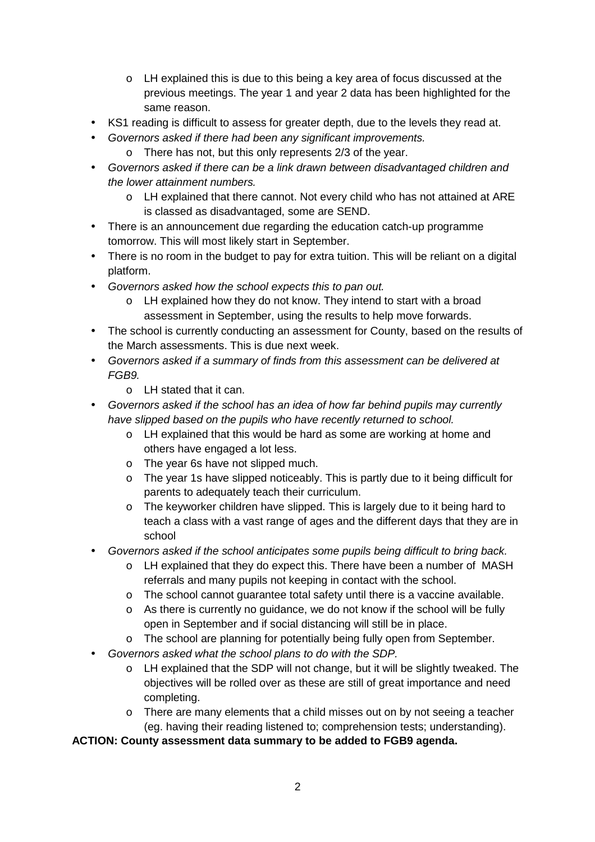- o LH explained this is due to this being a key area of focus discussed at the previous meetings. The year 1 and year 2 data has been highlighted for the same reason.
- KS1 reading is difficult to assess for greater depth, due to the levels they read at.
- Governors asked if there had been any significant improvements.
	- o There has not, but this only represents 2/3 of the year.
- Governors asked if there can be a link drawn between disadvantaged children and the lower attainment numbers.
	- o LH explained that there cannot. Not every child who has not attained at ARE is classed as disadvantaged, some are SEND.
- There is an announcement due regarding the education catch-up programme tomorrow. This will most likely start in September.
- There is no room in the budget to pay for extra tuition. This will be reliant on a digital platform.
- Governors asked how the school expects this to pan out.
	- o LH explained how they do not know. They intend to start with a broad assessment in September, using the results to help move forwards.
- The school is currently conducting an assessment for County, based on the results of the March assessments. This is due next week.
- Governors asked if a summary of finds from this assessment can be delivered at FGB9.
	- o LH stated that it can.
- Governors asked if the school has an idea of how far behind pupils may currently have slipped based on the pupils who have recently returned to school.
	- o LH explained that this would be hard as some are working at home and others have engaged a lot less.
	- o The year 6s have not slipped much.
	- o The year 1s have slipped noticeably. This is partly due to it being difficult for parents to adequately teach their curriculum.
	- o The keyworker children have slipped. This is largely due to it being hard to teach a class with a vast range of ages and the different days that they are in school
- Governors asked if the school anticipates some pupils being difficult to bring back.
	- o LH explained that they do expect this. There have been a number of MASH referrals and many pupils not keeping in contact with the school.
	- $\circ$  The school cannot quarantee total safety until there is a vaccine available.
	- $\circ$  As there is currently no quidance, we do not know if the school will be fully open in September and if social distancing will still be in place.
	- o The school are planning for potentially being fully open from September.
- Governors asked what the school plans to do with the SDP.
	- $\circ$  LH explained that the SDP will not change, but it will be slightly tweaked. The objectives will be rolled over as these are still of great importance and need completing.
	- o There are many elements that a child misses out on by not seeing a teacher (eg. having their reading listened to; comprehension tests; understanding).

**ACTION: County assessment data summary to be added to FGB9 agenda.**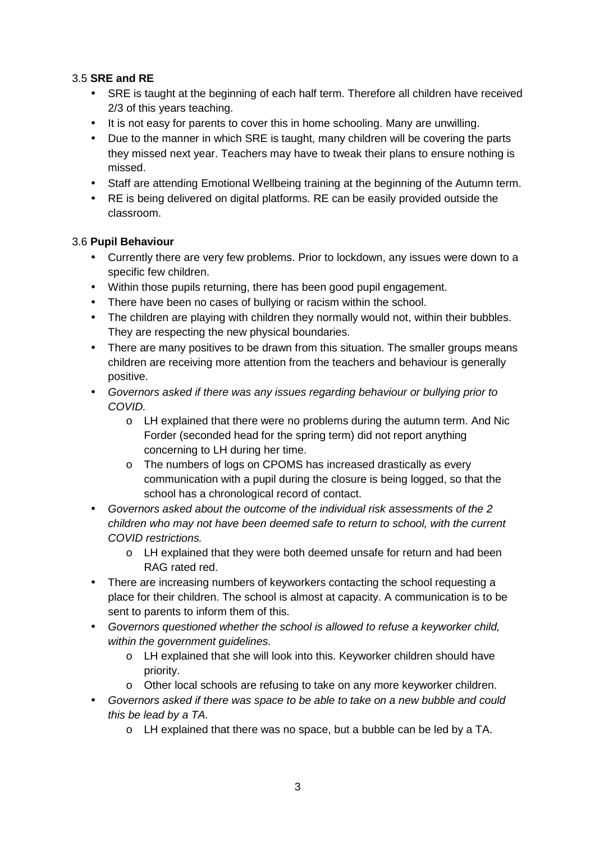# 3.5 **SRE and RE**

- SRE is taught at the beginning of each half term. Therefore all children have received 2/3 of this years teaching.
- It is not easy for parents to cover this in home schooling. Many are unwilling.
- Due to the manner in which SRE is taught, many children will be covering the parts they missed next year. Teachers may have to tweak their plans to ensure nothing is missed.
- Staff are attending Emotional Wellbeing training at the beginning of the Autumn term.
- RE is being delivered on digital platforms. RE can be easily provided outside the classroom.

## 3.6 **Pupil Behaviour**

- Currently there are very few problems. Prior to lockdown, any issues were down to a specific few children.
- Within those pupils returning, there has been good pupil engagement.
- There have been no cases of bullying or racism within the school.
- The children are playing with children they normally would not, within their bubbles. They are respecting the new physical boundaries.
- There are many positives to be drawn from this situation. The smaller groups means children are receiving more attention from the teachers and behaviour is generally positive.
- Governors asked if there was any issues regarding behaviour or bullying prior to COVID.
	- o LH explained that there were no problems during the autumn term. And Nic Forder (seconded head for the spring term) did not report anything concerning to LH during her time.
	- o The numbers of logs on CPOMS has increased drastically as every communication with a pupil during the closure is being logged, so that the school has a chronological record of contact.
- Governors asked about the outcome of the individual risk assessments of the 2 children who may not have been deemed safe to return to school, with the current COVID restrictions.
	- o LH explained that they were both deemed unsafe for return and had been RAG rated red.
- There are increasing numbers of keyworkers contacting the school requesting a place for their children. The school is almost at capacity. A communication is to be sent to parents to inform them of this.
- Governors questioned whether the school is allowed to refuse a keyworker child, within the government quidelines.
	- o LH explained that she will look into this. Keyworker children should have priority.
	- o Other local schools are refusing to take on any more keyworker children.
- Governors asked if there was space to be able to take on a new bubble and could this be lead by a TA.
	- o LH explained that there was no space, but a bubble can be led by a TA.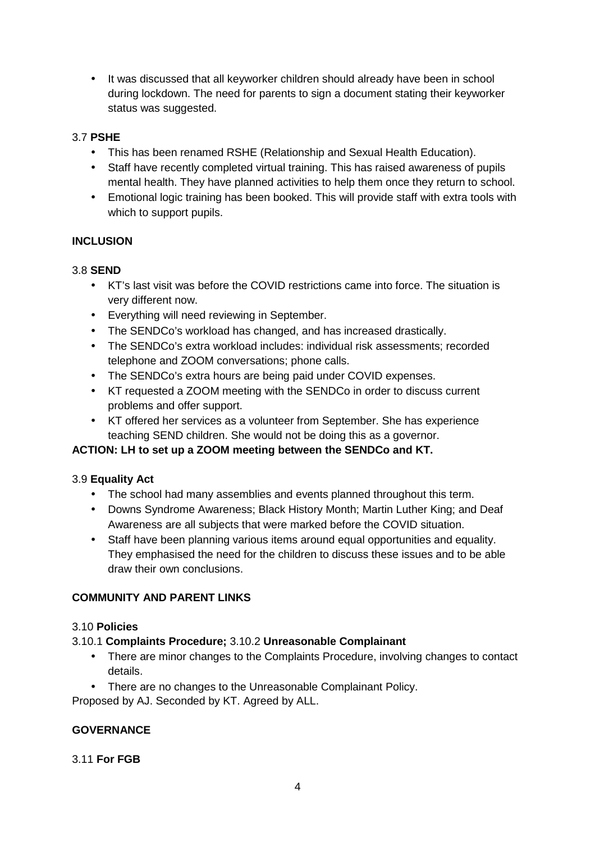• It was discussed that all keyworker children should already have been in school during lockdown. The need for parents to sign a document stating their keyworker status was suggested.

## 3.7 **PSHE**

- This has been renamed RSHE (Relationship and Sexual Health Education).
- Staff have recently completed virtual training. This has raised awareness of pupils mental health. They have planned activities to help them once they return to school.
- Emotional logic training has been booked. This will provide staff with extra tools with which to support pupils.

# **INCLUSION**

## 3.8 **SEND**

- KT's last visit was before the COVID restrictions came into force. The situation is very different now.
- Everything will need reviewing in September.
- The SENDCo's workload has changed, and has increased drastically.
- The SENDCo's extra workload includes: individual risk assessments: recorded telephone and ZOOM conversations; phone calls.
- The SENDCo's extra hours are being paid under COVID expenses.
- KT requested a ZOOM meeting with the SENDCo in order to discuss current problems and offer support.
- KT offered her services as a volunteer from September. She has experience teaching SEND children. She would not be doing this as a governor.

# **ACTION: LH to set up a ZOOM meeting between the SENDCo and KT.**

## 3.9 **Equality Act**

- The school had many assemblies and events planned throughout this term.
- Downs Syndrome Awareness; Black History Month; Martin Luther King; and Deaf Awareness are all subjects that were marked before the COVID situation.
- Staff have been planning various items around equal opportunities and equality. They emphasised the need for the children to discuss these issues and to be able draw their own conclusions.

# **COMMUNITY AND PARENT LINKS**

## 3.10 **Policies**

## 3.10.1 **Complaints Procedure;** 3.10.2 **Unreasonable Complainant**

- There are minor changes to the Complaints Procedure, involving changes to contact details.
- There are no changes to the Unreasonable Complainant Policy.

Proposed by AJ. Seconded by KT. Agreed by ALL.

# **GOVERNANCE**

## 3.11 **For FGB**